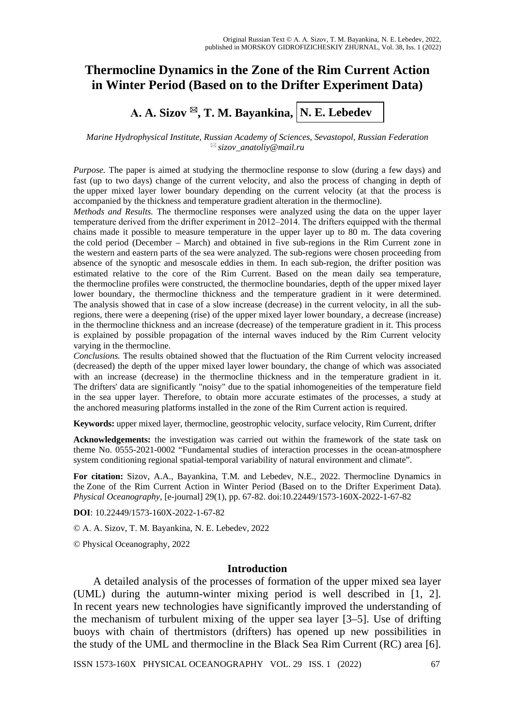# **Thermocline Dynamics in the Zone of the Rim Current Action in Winter Period (Based on to the Drifter Experiment Data)**

**А. A. Sizov , T. M. Bayankina, N. E. Lebedev**

*Marine Hydrophysical Institute, Russian Academy of Sciences, Sevastopol, Russian Federation [sizov\\_anatoliy@mail.ru](mailto:sizov_anatoliy@mail.ru)*

*Purpose.* The paper is aimed at studying the thermocline response to slow (during a few days) and fast (up to two days) change of the current velocity, and also the process of changing in depth of the upper mixed layer lower boundary depending on the current velocity (at that the process is accompanied by the thickness and temperature gradient alteration in the thermocline).

*Methods and Results.* The thermocline responses were analyzed using the data on the upper layer temperature derived from the drifter experiment in 2012–2014. The drifters equipped with the thermal chains made it possible to measure temperature in the upper layer up to 80 m. The data covering the cold period (December – March) and obtained in five sub-regions in the Rim Current zone in the western and eastern parts of the sea were analyzed. The sub-regions were chosen proceeding from absence of the synoptic and mesoscale eddies in them. In each sub-region, the drifter position was estimated relative to the core of the Rim Current. Based on the mean daily sea temperature, the thermocline profiles were constructed, the thermocline boundaries, depth of the upper mixed layer lower boundary, the thermocline thickness and the temperature gradient in it were determined. The analysis showed that in case of a slow increase (decrease) in the current velocity, in all the subregions, there were a deepening (rise) of the upper mixed layer lower boundary, a decrease (increase) in the thermocline thickness and an increase (decrease) of the temperature gradient in it. This process is explained by possible propagation of the internal waves induced by the Rim Current velocity varying in the thermocline.

*Conclusions.* The results obtained showed that the fluctuation of the Rim Current velocity increased (decreased) the depth of the upper mixed layer lower boundary, the change of which was associated with an increase (decrease) in the thermocline thickness and in the temperature gradient in it. The drifters' data are significantly "noisy" due to the spatial inhomogeneities of the temperature field in the sea upper layer. Therefore, to obtain more accurate estimates of the processes, a study at the anchored measuring platforms installed in the zone of the Rim Current action is required.

**Keywords:** upper mixed layer, thermocline, geostrophic velocity, surface velocity, Rim Current, drifter

**Acknowledgements:** the investigation was carried out within the framework of the state task on theme No. 0555-2021-0002 "Fundamental studies of interaction processes in the ocean-atmosphere system conditioning regional spatial-temporal variability of natural environment and climate".

**For citation:** Sizov, A.A., Bayankina, T.M. and Lebedev, N.E., 2022. Thermocline Dynamics in the Zone of the Rim Current Action in Winter Period (Based on to the Drifter Experiment Data). *Physical Oceanography*, [e-journal] 29(1), pp. 67-82. doi:10.22449/1573-160X-2022-1-67-82

**DOI**: 10.22449/1573-160X-2022-1-67-82

© А. A. Sizov, T. M. Bayankina, N. E. Lebedev, 2022

© Physical Oceanography, 2022

## **Introduction**

A detailed analysis of the processes of formation of the upper mixed sea layer (UML) during the autumn-winter mixing period is well described in [1, 2]. In recent years new technologies have significantly improved the understanding of the mechanism of turbulent mixing of the upper sea layer [3–5]. Use of drifting buoys with chain of thertmistors (drifters) has opened up new possibilities in the study of the UML and thermocline in the Black Sea Rim Current (RC) area [6].

ISSN 1573-160X PHYSICAL OCEANOGRAPHY VOL. 29 ISS. 1 (2022) 67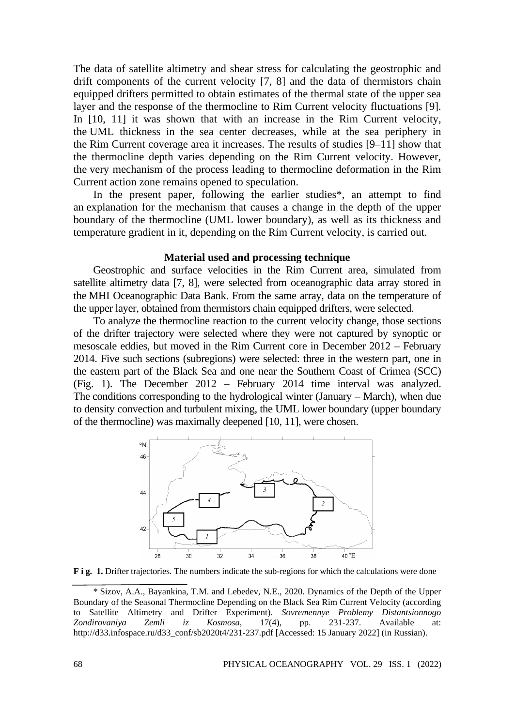The data of satellite altimetry and shear stress for calculating the geostrophic and drift components of the current velocity [7, 8] and the data of thermistors chain equipped drifters permitted to obtain estimates of the thermal state of the upper sea layer and the response of the thermocline to Rim Current velocity fluctuations [9]. In [10, 11] it was shown that with an increase in the Rim Current velocity, the UML thickness in the sea center decreases, while at the sea periphery in the Rim Current coverage area it increases. The results of studies [9–11] show that the thermocline depth varies depending on the Rim Current velocity. However, the very mechanism of the process leading to thermocline deformation in the Rim Current action zone remains opened to speculation.

In the present paper, following the earlier studies\*, an attempt to find an explanation for the mechanism that causes a change in the depth of the upper boundary of the thermocline (UML lower boundary), as well as its thickness and temperature gradient in it, depending on the Rim Current velocity, is carried out.

### **Material used and processing technique**

Geostrophic and surface velocities in the Rim Current area, simulated from satellite altimetry data [7, 8], were selected from oceanographic data array stored in the MHI Oceanographic Data Bank. From the same array, data on the temperature of the upper layer, obtained from thermistors chain equipped drifters, were selected.

To analyze the thermocline reaction to the current velocity change, those sections of the drifter trajectory were selected where they were not captured by synoptic or mesoscale eddies, but moved in the Rim Current core in December 2012 – February 2014. Five such sections (subregions) were selected: three in the western part, one in the eastern part of the Black Sea and one near the Southern Coast of Crimea (SCC) (Fig. 1). The December 2012 – February 2014 time interval was analyzed. The conditions corresponding to the hydrological winter (January – March), when due to density convection and turbulent mixing, the UML lower boundary (upper boundary of the thermocline) was maximally deepened [10, 11], were chosen.



**F i g.** 1. Drifter trajectories. The numbers indicate the sub-regions for which the calculations were done

<sup>\*</sup> Sizov, A.A., Bayankina, T.M. and Lebedev, N.E., 2020. Dynamics of the Depth of the Upper Boundary of the Seasonal Thermocline Depending on the Black Sea Rim Current Velocity (according to Satellite Altimetry and Drifter Experiment). *Sovremennye Problemy Distantsionnogo Zondirovaniya Zemli iz Kosmosa*, 17(4), pp. 231-237. Available at: http://d33.infospace.ru/d33\_conf/sb2020t4/231-237.pdf [Accessed: 15 January 2022] (in Russian).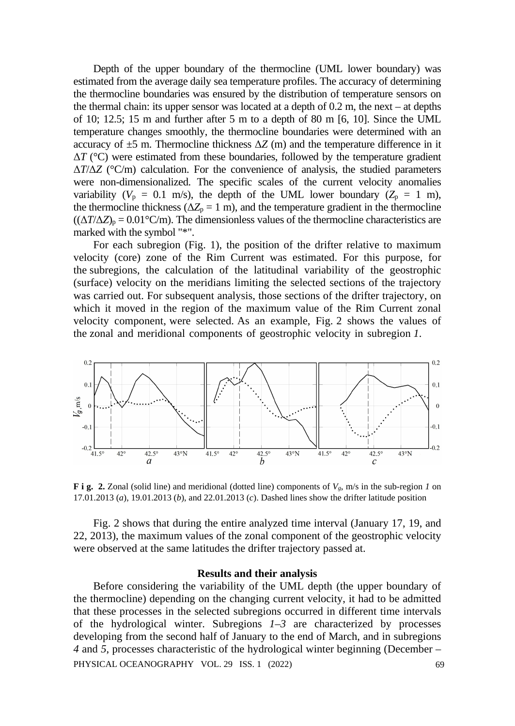Depth of the upper boundary of the thermocline (UML lower boundary) was estimated from the average daily sea temperature profiles. The accuracy of determining the thermocline boundaries was ensured by the distribution of temperature sensors on the thermal chain: its upper sensor was located at a depth of 0.2 m, the next – at depths of 10; 12.5; 15 m and further after 5 m to a depth of 80 m [6, 10]. Since the UML temperature changes smoothly, the thermocline boundaries were determined with an accuracy of  $\pm$ 5 m. Thermocline thickness  $\Delta$ *Z* (m) and the temperature difference in it Δ*T* (°C) were estimated from these boundaries, followed by the temperature gradient Δ*T*/Δ*Z* (°C/m) calculation. For the convenience of analysis, the studied parameters were non-dimensionalized. The specific scales of the current velocity anomalies variability ( $V_p = 0.1$  m/s), the depth of the UML lower boundary ( $Z_p = 1$  m), the thermocline thickness ( $\Delta Z_p = 1$  m), and the temperature gradient in the thermocline  $((\Delta T/\Delta Z)_p = 0.01^{\circ}\text{C/m})$ . The dimensionless values of the thermocline characteristics are marked with the symbol "\*".

For each subregion (Fig. 1), the position of the drifter relative to maximum velocity (core) zone of the Rim Current was estimated. For this purpose, for the subregions, the calculation of the latitudinal variability of the geostrophic (surface) velocity on the meridians limiting the selected sections of the trajectory was carried out. For subsequent analysis, those sections of the drifter trajectory, on which it moved in the region of the maximum value of the Rim Current zonal velocity component, were selected. As an example, Fig. 2 shows the values of the zonal and meridional components of geostrophic velocity in subregion *1*.



**F i g. 2.** Zonal (solid line) and meridional (dotted line) components of *Vg*, m/s in the sub-region *1* on 17.01.2013 (*a*), 19.01.2013 (*b*), and 22.01.2013 (*c*). Dashed lines show the drifter latitude position

Fig. 2 shows that during the entire analyzed time interval (January 17, 19, and 22, 2013), the maximum values of the zonal component of the geostrophic velocity were observed at the same latitudes the drifter trajectory passed at.

### **Results and their analysis**

Before considering the variability of the UML depth (the upper boundary of the thermocline) depending on the changing current velocity, it had to be admitted that these processes in the selected subregions occurred in different time intervals of the hydrological winter. Subregions *1–3* are characterized by processes developing from the second half of January to the end of March, and in subregions *4* and *5*, processes characteristic of the hydrological winter beginning (December – PHYSICAL OCEANOGRAPHY VOL. 29 ISS. 1 (2022) 69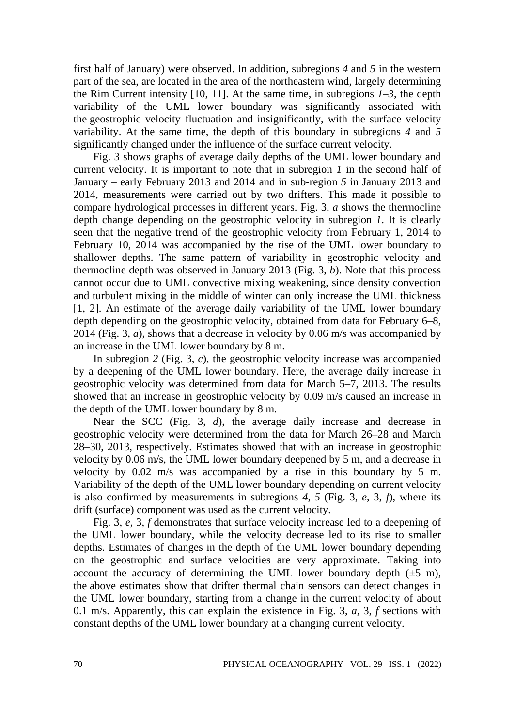first half of January) were observed. In addition, subregions *4* and *5* in the western part of the sea, are located in the area of the northeastern wind, largely determining the Rim Current intensity [10, 11]. At the same time, in subregions *1–3*, the depth variability of the UML lower boundary was significantly associated with the geostrophic velocity fluctuation and insignificantly, with the surface velocity variability. At the same time, the depth of this boundary in subregions *4* and *5* significantly changed under the influence of the surface current velocity.

Fig. 3 shows graphs of average daily depths of the UML lower boundary and current velocity. It is important to note that in subregion *1* in the second half of January – early February 2013 and 2014 and in sub-region *5* in January 2013 and 2014, measurements were carried out by two drifters. This made it possible to compare hydrological processes in different years. Fig. 3, *a* shows the thermocline depth change depending on the geostrophic velocity in subregion *1*. It is clearly seen that the negative trend of the geostrophic velocity from February 1, 2014 to February 10, 2014 was accompanied by the rise of the UML lower boundary to shallower depths. The same pattern of variability in geostrophic velocity and thermocline depth was observed in January 2013 (Fig. 3, *b*). Note that this process cannot occur due to UML convective mixing weakening, since density convection and turbulent mixing in the middle of winter can only increase the UML thickness [1, 2]. An estimate of the average daily variability of the UML lower boundary depth depending on the geostrophic velocity, obtained from data for February 6–8, 2014 (Fig. 3, *a*), shows that a decrease in velocity by 0.06 m/s was accompanied by an increase in the UML lower boundary by 8 m.

In subregion *2* (Fig. 3, *c*), the geostrophic velocity increase was accompanied by a deepening of the UML lower boundary. Here, the average daily increase in geostrophic velocity was determined from data for March 5–7, 2013. The results showed that an increase in geostrophic velocity by 0.09 m/s caused an increase in the depth of the UML lower boundary by 8 m.

Near the SCC (Fig. 3, *d*), the average daily increase and decrease in geostrophic velocity were determined from the data for March 26–28 and March 28–30, 2013, respectively. Estimates showed that with an increase in geostrophic velocity by 0.06 m/s, the UML lower boundary deepened by 5 m, and a decrease in velocity by 0.02 m/s was accompanied by a rise in this boundary by 5 m. Variability of the depth of the UML lower boundary depending on current velocity is also confirmed by measurements in subregions *4*, *5* (Fig. 3, *e*, 3, *f*), where its drift (surface) component was used as the current velocity.

Fig. 3, *e*, 3, *f* demonstrates that surface velocity increase led to a deepening of the UML lower boundary, while the velocity decrease led to its rise to smaller depths. Estimates of changes in the depth of the UML lower boundary depending on the geostrophic and surface velocities are very approximate. Taking into account the accuracy of determining the UML lower boundary depth  $(\pm 5 \text{ m})$ , the above estimates show that drifter thermal chain sensors can detect changes in the UML lower boundary, starting from a change in the current velocity of about 0.1 m/s. Apparently, this can explain the existence in Fig. 3, *a*, 3, *f* sections with constant depths of the UML lower boundary at a changing current velocity.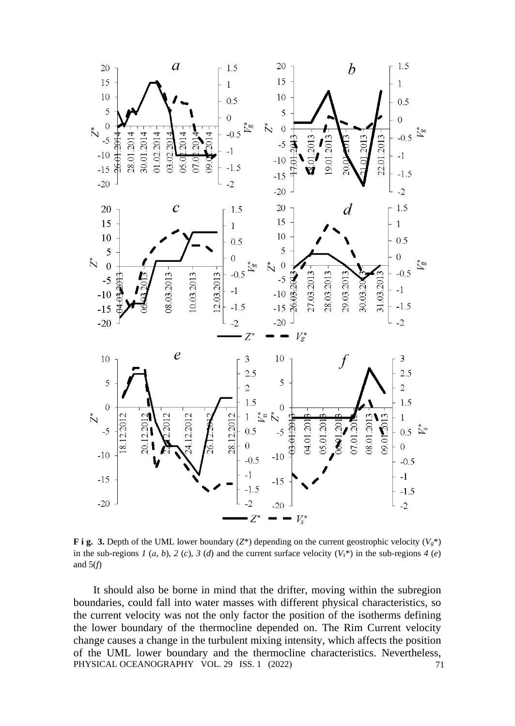

**F i g. 3.** Depth of the UML lower boundary ( $Z^*$ ) depending on the current geostrophic velocity ( $V_g^*$ ) in the sub-regions *1* (*a*, *b*), *2* (*c*), *3* (*d*) and the current surface velocity  $(V_s^*)$  in the sub-regions *4* (*e*) and 5(*f*)

It should also be borne in mind that the drifter, moving within the subregion boundaries, could fall into water masses with different physical characteristics, so the current velocity was not the only factor the position of the isotherms defining the lower boundary of the thermocline depended on. The Rim Current velocity change causes a change in the turbulent mixing intensity, which affects the position of the UML lower boundary and the thermocline characteristics. Nevertheless, PHYSICAL OCEANOGRAPHY VOL. 29 ISS. 1 (2022) 71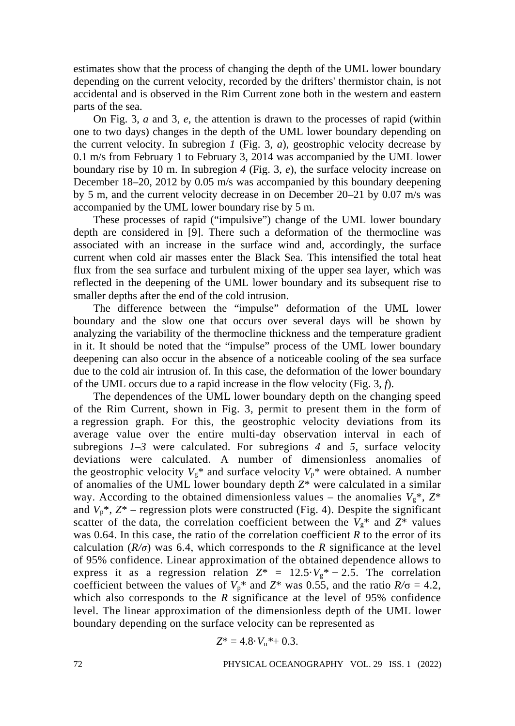estimates show that the process of changing the depth of the UML lower boundary depending on the current velocity, recorded by the drifters' thermistor chain, is not accidental and is observed in the Rim Current zone both in the western and eastern parts of the sea.

On Fig. 3, *a* and 3, *e*, the attention is drawn to the processes of rapid (within one to two days) changes in the depth of the UML lower boundary depending on the current velocity. In subregion *1* (Fig. 3, *a*), geostrophic velocity decrease by 0.1 m/s from February 1 to February 3, 2014 was accompanied by the UML lower boundary rise by 10 m. In subregion *4* (Fig. 3, *e*), the surface velocity increase on December 18–20, 2012 by 0.05 m/s was accompanied by this boundary deepening by 5 m, and the current velocity decrease in on December 20–21 by 0.07 m/s was accompanied by the UML lower boundary rise by 5 m.

These processes of rapid ("impulsive") change of the UML lower boundary depth are considered in [9]. There such a deformation of the thermocline was associated with an increase in the surface wind and, accordingly, the surface current when cold air masses enter the Black Sea. This intensified the total heat flux from the sea surface and turbulent mixing of the upper sea layer, which was reflected in the deepening of the UML lower boundary and its subsequent rise to smaller depths after the end of the cold intrusion.

The difference between the "impulse" deformation of the UML lower boundary and the slow one that occurs over several days will be shown by analyzing the variability of the thermocline thickness and the temperature gradient in it. It should be noted that the "impulse" process of the UML lower boundary deepening can also occur in the absence of a noticeable cooling of the sea surface due to the cold air intrusion of. In this case, the deformation of the lower boundary of the UML occurs due to a rapid increase in the flow velocity (Fig. 3, *f*).

The dependences of the UML lower boundary depth on the changing speed of the Rim Current, shown in Fig. 3, permit to present them in the form of a regression graph. For this, the geostrophic velocity deviations from its average value over the entire multi-day observation interval in each of subregions *1*–*3* were calculated. For subregions *4* and *5*, surface velocity deviations were calculated. A number of dimensionless anomalies of the geostrophic velocity  $V_g^*$  and surface velocity  $V_p^*$  were obtained. A number of anomalies of the UML lower boundary depth *Z*\* were calculated in a similar way. According to the obtained dimensionless values – the anomalies  $V_g^*$ ,  $Z^*$ and  $V_p^*$ ,  $Z^*$  – regression plots were constructed (Fig. 4). Despite the significant scatter of the data, the correlation coefficient between the  $V_g^*$  and  $Z^*$  values was 0.64. In this case, the ratio of the correlation coefficient *R* to the error of its calculation  $(R/\sigma)$  was 6.4, which corresponds to the *R* significance at the level of 95% confidence. Linear approximation of the obtained dependence allows to express it as a regression relation  $Z^* = 12.5 \cdot V_g^* - 2.5$ . The correlation coefficient between the values of  $V_p^*$  and  $Z^*$  was 0.55, and the ratio  $R/\sigma = 4.2$ , which also corresponds to the *R* significance at the level of 95% confidence level. The linear approximation of the dimensionless depth of the UML lower boundary depending on the surface velocity can be represented as

$$
Z^* = 4.8 \cdot V_{\pi}^* + 0.3.
$$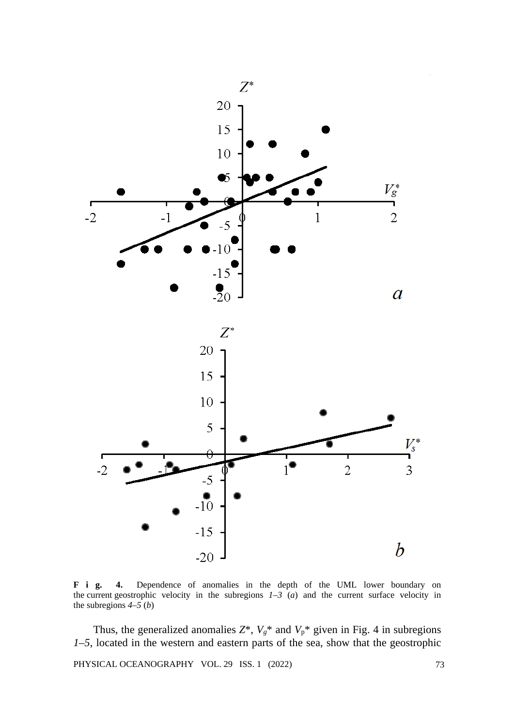

**F i g. 4.** Dependence of anomalies in the depth of the UML lower boundary on the current geostrophic velocity in the subregions  $1-3$  (*a*) and the current surface velocity in the subregions *4*–*5* (*b*)

Thus, the generalized anomalies  $Z^*$ ,  $V_g^*$  and  $V_p^*$  given in Fig. 4 in subregions *1*–*5*, located in the western and eastern parts of the sea, show that the geostrophic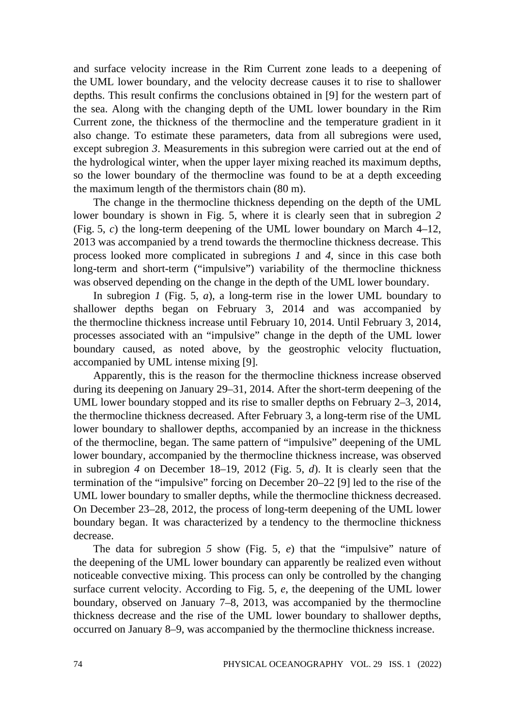and surface velocity increase in the Rim Current zone leads to a deepening of the UML lower boundary, and the velocity decrease causes it to rise to shallower depths. This result confirms the conclusions obtained in [9] for the western part of the sea. Along with the changing depth of the UML lower boundary in the Rim Current zone, the thickness of the thermocline and the temperature gradient in it also change. To estimate these parameters, data from all subregions were used, except subregion *3*. Measurements in this subregion were carried out at the end of the hydrological winter, when the upper layer mixing reached its maximum depths, so the lower boundary of the thermocline was found to be at a depth exceeding the maximum length of the thermistors chain (80 m).

The change in the thermocline thickness depending on the depth of the UML lower boundary is shown in Fig. 5, where it is clearly seen that in subregion *2* (Fig. 5,  $c$ ) the long-term deepening of the UML lower boundary on March  $4-12$ , 2013 was accompanied by a trend towards the thermocline thickness decrease. This process looked more complicated in subregions *1* and *4*, since in this case both long-term and short-term ("impulsive") variability of the thermocline thickness was observed depending on the change in the depth of the UML lower boundary.

In subregion *1* (Fig. 5, *a*), a long-term rise in the lower UML boundary to shallower depths began on February 3, 2014 and was accompanied by the thermocline thickness increase until February 10, 2014. Until February 3, 2014, processes associated with an "impulsive" change in the depth of the UML lower boundary caused, as noted above, by the geostrophic velocity fluctuation, accompanied by UML intense mixing [9].

Apparently, this is the reason for the thermocline thickness increase observed during its deepening on January 29–31, 2014. After the short-term deepening of the UML lower boundary stopped and its rise to smaller depths on February 2–3, 2014, the thermocline thickness decreased. After February 3, a long-term rise of the UML lower boundary to shallower depths, accompanied by an increase in the thickness of the thermocline, began. The same pattern of "impulsive" deepening of the UML lower boundary, accompanied by the thermocline thickness increase, was observed in subregion *4* on December 18–19, 2012 (Fig. 5, *d*). It is clearly seen that the termination of the "impulsive" forcing on December 20–22 [9] led to the rise of the UML lower boundary to smaller depths, while the thermocline thickness decreased. On December 23–28, 2012, the process of long-term deepening of the UML lower boundary began. It was characterized by a tendency to the thermocline thickness decrease.

The data for subregion *5* show (Fig. 5, *e*) that the "impulsive" nature of the deepening of the UML lower boundary can apparently be realized even without noticeable convective mixing. This process can only be controlled by the changing surface current velocity. According to Fig. 5, *e*, the deepening of the UML lower boundary, observed on January 7–8, 2013, was accompanied by the thermocline thickness decrease and the rise of the UML lower boundary to shallower depths, occurred on January 8–9, was accompanied by the thermocline thickness increase.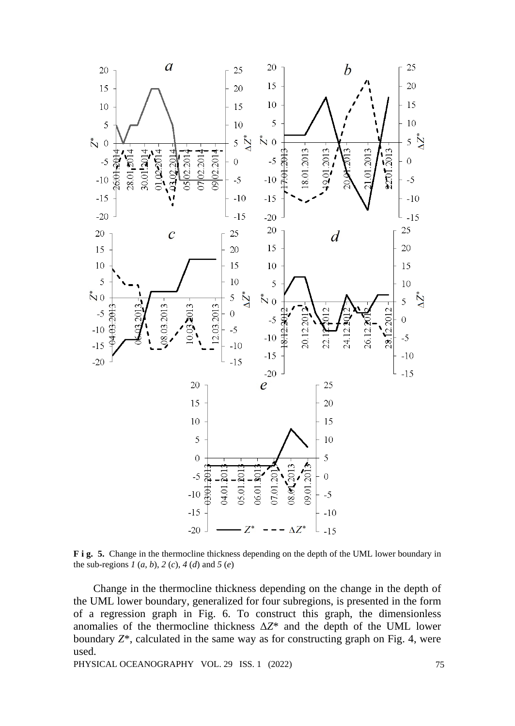

**F i g. 5.** Change in the thermocline thickness depending on the depth of the UML lower boundary in the sub-regions *1* (*a*, *b*), *2* (*c*), *4* (*d*) and *5* (*e*)

Change in the thermocline thickness depending on the change in the depth of the UML lower boundary, generalized for four subregions, is presented in the form of a regression graph in Fig. 6. To construct this graph, the dimensionless anomalies of the thermocline thickness Δ*Z*\* and the depth of the UML lower boundary *Z*\*, calculated in the same way as for constructing graph on Fig. 4, were used.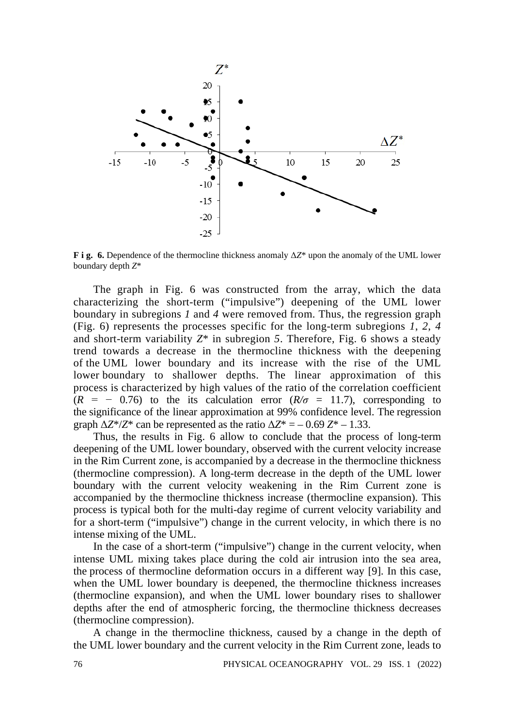

**F i g. 6.** Dependence of the thermocline thickness anomaly Δ*Z*\* upon the anomaly of the UML lower boundary depth *Z*\*

The graph in Fig. 6 was constructed from the array, which the data characterizing the short-term ("impulsive") deepening of the UML lower boundary in subregions *1* and *4* were removed from. Thus, the regression graph (Fig. 6) represents the processes specific for the long-term subregions *1*, *2*, *4* and short-term variability *Z*\* in subregion *5*. Therefore, Fig. 6 shows a steady trend towards a decrease in the thermocline thickness with the deepening of the UML lower boundary and its increase with the rise of the UML lower boundary to shallower depths. The linear approximation of this process is characterized by high values of the ratio of the correlation coefficient  $(R = -0.76)$  to the its calculation error  $(R/\sigma = 11.7)$ , corresponding to the significance of the linear approximation at 99% confidence level. The regression graph  $\Delta Z^*/Z^*$  can be represented as the ratio  $\Delta Z^* = -0.69 Z^* - 1.33$ .

Thus, the results in Fig. 6 allow to conclude that the process of long-term deepening of the UML lower boundary, observed with the current velocity increase in the Rim Current zone, is accompanied by a decrease in the thermocline thickness (thermocline compression). A long-term decrease in the depth of the UML lower boundary with the current velocity weakening in the Rim Current zone is accompanied by the thermocline thickness increase (thermocline expansion). This process is typical both for the multi-day regime of current velocity variability and for a short-term ("impulsive") change in the current velocity, in which there is no intense mixing of the UML.

In the case of a short-term ("impulsive") change in the current velocity, when intense UML mixing takes place during the cold air intrusion into the sea area, the process of thermocline deformation occurs in a different way [9]. In this case, when the UML lower boundary is deepened, the thermocline thickness increases (thermocline expansion), and when the UML lower boundary rises to shallower depths after the end of atmospheric forcing, the thermocline thickness decreases (thermocline compression).

A change in the thermocline thickness, caused by a change in the depth of the UML lower boundary and the current velocity in the Rim Current zone, leads to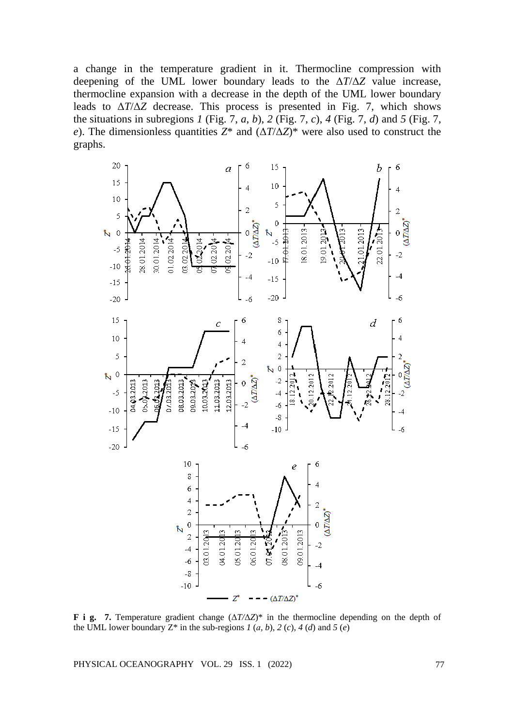a change in the temperature gradient in it. Thermocline compression with deepening of the UML lower boundary leads to the Δ*T*/Δ*Z* value increase, thermocline expansion with a decrease in the depth of the UML lower boundary leads to Δ*T*/Δ*Z* decrease. This process is presented in Fig. 7, which shows the situations in subregions *1* (Fig. 7, *a*, *b*), *2* (Fig. 7, *c*), *4* (Fig. 7, *d*) and *5* (Fig. 7, *e*). The dimensionless quantities *Z*\* and (Δ*T*/Δ*Z*)\* were also used to construct the graphs.



**F i g. 7.** Temperature gradient change (Δ*T/*Δ*Z*)\* in the thermocline depending on the depth of the UML lower boundary  $Z^*$  in the sub-regions  $I(a, b)$ ,  $2(c)$ ,  $4(d)$  and  $5(e)$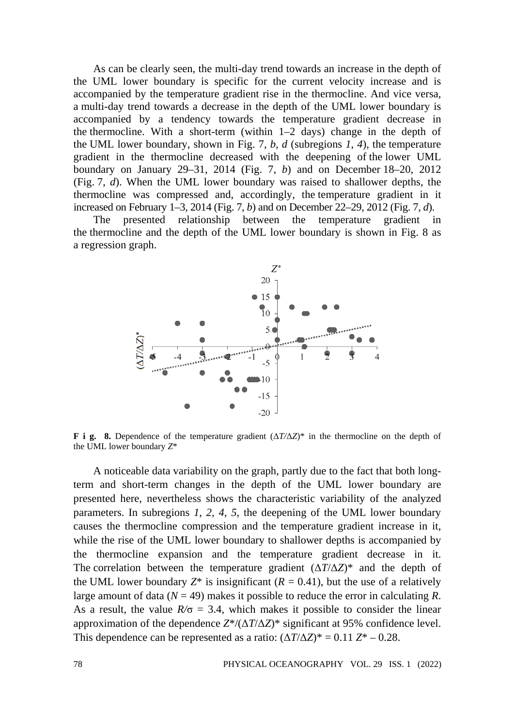As can be clearly seen, the multi-day trend towards an increase in the depth of the UML lower boundary is specific for the current velocity increase and is accompanied by the temperature gradient rise in the thermocline. And vice versa, a multi-day trend towards a decrease in the depth of the UML lower boundary is accompanied by a tendency towards the temperature gradient decrease in the thermocline. With a short-term (within 1–2 days) change in the depth of the UML lower boundary, shown in Fig. 7, *b*, *d* (subregions *1*, *4*), the temperature gradient in the thermocline decreased with the deepening of the lower UML boundary on January 29–31, 2014 (Fig. 7, *b*) and on December 18–20, 2012 (Fig. 7, *d*). When the UML lower boundary was raised to shallower depths, the thermocline was compressed and, accordingly, the temperature gradient in it increased on February 1–3, 2014 (Fig. 7, *b*) and on December 22–29, 2012 (Fig. 7, *d*).

The presented relationship between the temperature gradient in the thermocline and the depth of the UML lower boundary is shown in Fig. 8 as a regression graph.



**F i g. 8.** Dependence of the temperature gradient (Δ*T/*Δ*Z*)\* in the thermocline on the depth of the UML lower boundary *Z*\*

A noticeable data variability on the graph, partly due to the fact that both longterm and short-term changes in the depth of the UML lower boundary are presented here, nevertheless shows the characteristic variability of the analyzed parameters. In subregions *1*, *2*, *4*, *5*, the deepening of the UML lower boundary causes the thermocline compression and the temperature gradient increase in it, while the rise of the UML lower boundary to shallower depths is accompanied by the thermocline expansion and the temperature gradient decrease in it. The correlation between the temperature gradient  $(\Delta T/\Delta Z)^*$  and the depth of the UML lower boundary  $Z^*$  is insignificant ( $R = 0.41$ ), but the use of a relatively large amount of data ( $N = 49$ ) makes it possible to reduce the error in calculating  $R$ . As a result, the value  $R/\sigma = 3.4$ , which makes it possible to consider the linear approximation of the dependence *Z*\*/(Δ*T*/Δ*Z*)\* significant at 95% confidence level. This dependence can be represented as a ratio:  $(\Delta T / \Delta Z)^* = 0.11 Z^* - 0.28$ .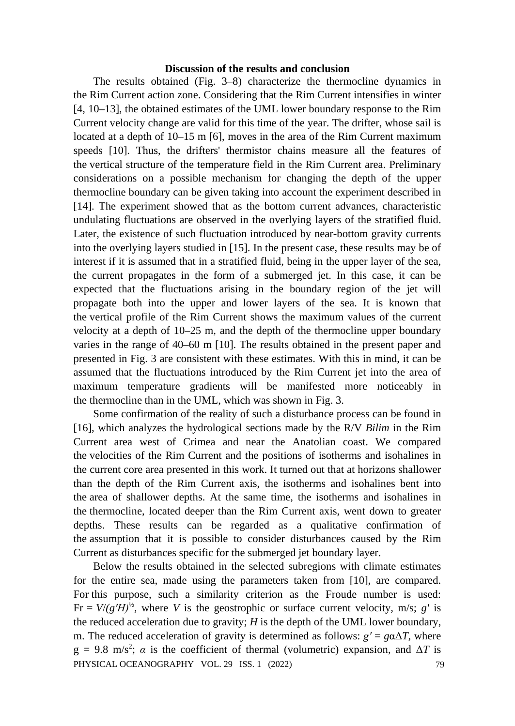# **Discussion of the results and conclusion**

The results obtained (Fig. 3–8) characterize the thermocline dynamics in the Rim Current action zone. Considering that the Rim Current intensifies in winter [4, 10–13], the obtained estimates of the UML lower boundary response to the Rim Current velocity change are valid for this time of the year. The drifter, whose sail is located at a depth of 10–15 m [6], moves in the area of the Rim Current maximum speeds [10]. Thus, the drifters' thermistor chains measure all the features of the vertical structure of the temperature field in the Rim Current area. Preliminary considerations on a possible mechanism for changing the depth of the upper thermocline boundary can be given taking into account the experiment described in [14]. The experiment showed that as the bottom current advances, characteristic undulating fluctuations are observed in the overlying layers of the stratified fluid. Later, the existence of such fluctuation introduced by near-bottom gravity currents into the overlying layers studied in [15]. In the present case, these results may be of interest if it is assumed that in a stratified fluid, being in the upper layer of the sea, the current propagates in the form of a submerged jet. In this case, it can be expected that the fluctuations arising in the boundary region of the jet will propagate both into the upper and lower layers of the sea. It is known that the vertical profile of the Rim Current shows the maximum values of the current velocity at a depth of 10–25 m, and the depth of the thermocline upper boundary varies in the range of 40–60 m [10]. The results obtained in the present paper and presented in Fig. 3 are consistent with these estimates. With this in mind, it can be assumed that the fluctuations introduced by the Rim Current jet into the area of maximum temperature gradients will be manifested more noticeably in the thermocline than in the UML, which was shown in Fig. 3.

Some confirmation of the reality of such a disturbance process can be found in [16], which analyzes the hydrological sections made by the R/V *Bilim* in the Rim Current area west of Crimea and near the Anatolian coast. We compared the velocities of the Rim Current and the positions of isotherms and isohalines in the current core area presented in this work. It turned out that at horizons shallower than the depth of the Rim Current axis, the isotherms and isohalines bent into the area of shallower depths. At the same time, the isotherms and isohalines in the thermocline, located deeper than the Rim Current axis, went down to greater depths. These results can be regarded as a qualitative confirmation of the assumption that it is possible to consider disturbances caused by the Rim Current as disturbances specific for the submerged jet boundary layer.

Below the results obtained in the selected subregions with climate estimates for the entire sea, made using the parameters taken from [10], are compared. For this purpose, such a similarity criterion as the Froude number is used: Fr =  $V/(g'H)^{1/2}$ , where *V* is the geostrophic or surface current velocity, m/s; *g'* is the reduced acceleration due to gravity; *H* is the depth of the UML lower boundary, m. The reduced acceleration of gravity is determined as follows:  $g' = g\alpha\Delta T$ , where  $g = 9.8$  m/s<sup>2</sup>;  $\alpha$  is the coefficient of thermal (volumetric) expansion, and  $\Delta T$  is PHYSICAL OCEANOGRAPHY VOL. 29 ISS. 1 (2022) 79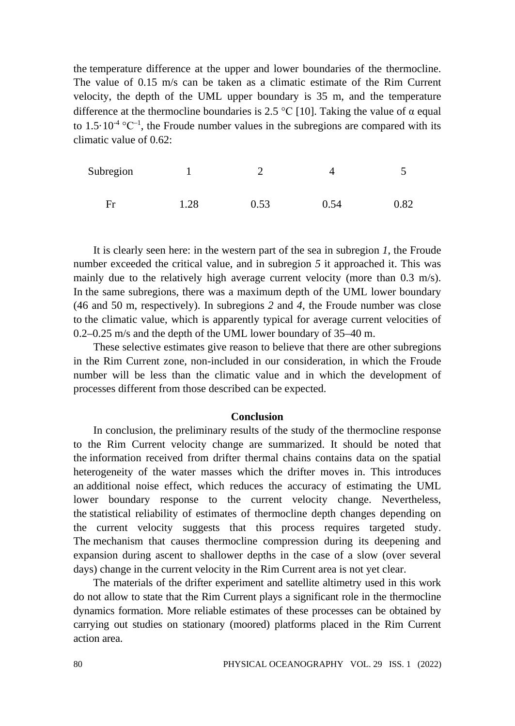the temperature difference at the upper and lower boundaries of the thermocline. The value of 0.15 m/s can be taken as a climatic estimate of the Rim Current velocity, the depth of the UML upper boundary is 35 m, and the temperature difference at the thermocline boundaries is 2.5 °C [10]. Taking the value of α equal to 1.5 $\cdot$ 10<sup>-4</sup> °C<sup>-1</sup>, the Froude number values in the subregions are compared with its climatic value of  $0.62$ 

| Subregion |      |      |      |      |
|-----------|------|------|------|------|
| Fr        | 1.28 | 0.53 | 0.54 | 0.82 |

It is clearly seen here: in the western part of the sea in subregion *1*, the Froude number exceeded the critical value, and in subregion *5* it approached it. This was mainly due to the relatively high average current velocity (more than 0.3 m/s). In the same subregions, there was a maximum depth of the UML lower boundary (46 and 50 m, respectively). In subregions *2* and *4*, the Froude number was close to the climatic value, which is apparently typical for average current velocities of 0.2–0.25 m/s and the depth of the UML lower boundary of 35–40 m.

These selective estimates give reason to believe that there are other subregions in the Rim Current zone, non-included in our consideration, in which the Froude number will be less than the climatic value and in which the development of processes different from those described can be expected.

### **Conclusion**

In conclusion, the preliminary results of the study of the thermocline response to the Rim Current velocity change are summarized. It should be noted that the information received from drifter thermal chains contains data on the spatial heterogeneity of the water masses which the drifter moves in. This introduces an additional noise effect, which reduces the accuracy of estimating the UML lower boundary response to the current velocity change. Nevertheless, the statistical reliability of estimates of thermocline depth changes depending on the current velocity suggests that this process requires targeted study. The mechanism that causes thermocline compression during its deepening and expansion during ascent to shallower depths in the case of a slow (over several days) change in the current velocity in the Rim Current area is not yet clear.

The materials of the drifter experiment and satellite altimetry used in this work do not allow to state that the Rim Current plays a significant role in the thermocline dynamics formation. More reliable estimates of these processes can be obtained by carrying out studies on stationary (moored) platforms placed in the Rim Current action area.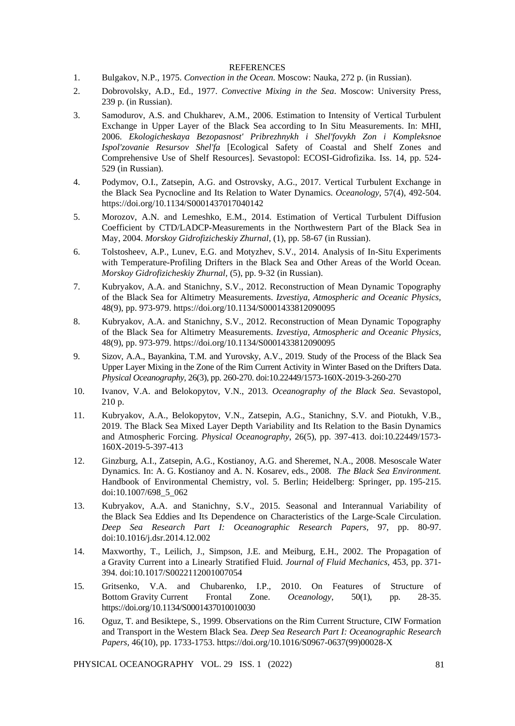#### **REFERENCES**

- 1. Bulgakov, N.P., 1975. *Convection in the Ocean*. Moscow: Nauka, 272 p. (in Russian).
- 2. Dobrovolsky, A.D., Ed., 1977. *Convective Mixing in the Sea*. Moscow: University Press, 239 p. (in Russian).
- 3. Samodurov, A.S. and Chukharev, A.M., 2006. Estimation to Intensity of Vertical Turbulent Exchange in Upper Layer of the Black Sea according to In Situ Measurements. In: MHI, 2006. *Ekologicheskaya Bezopasnost' Pribrezhnykh i Shel'fovykh Zon i Kompleksnoe Ispol'zovanie Resursov Shel'fa* [Ecological Safety of Coastal and Shelf Zones and Comprehensive Use of Shelf Resources]. Sevastopol: ECOSI-Gidrofizika. Iss. 14, pp. 524- 529 (in Russian).
- 4. Podymov, O.I., Zatsepin, A.G. and Ostrovsky, A.G., 2017. Vertical Turbulent Exchange in the Black Sea Pycnocline and Its Relation to Water Dynamics. *Oceanology*, 57(4), 492-504. https://doi.org/10.1134/S0001437017040142
- 5. Morozov, A.N. and Lemeshko, E.M., 2014. Estimation of Vertical Turbulent Diffusion Coefficient by CTD/LADCP-Measurements in the Northwestern Part of the Black Sea in May, 2004. *Morskoy Gidrofizicheskiy Zhurnal,* (1), pp. 58-67 (in Russian).
- 6. Tolstosheev, A.P., Lunev, E.G. and Motyzhev, S.V., 2014. Analysis of In-Situ Experiments with Temperature-Profiling Drifters in the Black Sea and Other Areas of the World Ocean. *Morskoy Gidrofizicheskiy Zhurnal,* (5), pp. 9-32 (in Russian).
- 7. Kubryakov, A.A. and Stanichny, S.V., 2012. Reconstruction of Mean Dynamic Topography of the Black Sea for Altimetry Measurements. *Izvestiya, Atmospheric and Oceanic Physics,* 48(9), pp. 973-979. https://doi.org/10.1134/S0001433812090095
- 8. Kubryakov, A.A. and Stanichny, S.V., 2012. Reconstruction of Mean Dynamic Topography of the Black Sea for Altimetry Measurements. *Izvestiya, Atmospheric and Oceanic Physics,* 48(9), pp. 973-979. https://doi.org/10.1134/S0001433812090095
- 9. Sizov, A.A., Bayankina, T.M. and Yurovsky, A.V., 2019. Study of the Process of the Black Sea Upper Layer Mixing in the Zone of the Rim Current Activity in Winter Based on the Drifters Data. *Physical Oceanography*, 26(3), pp. 260-270. doi:10.22449/1573-160X-2019-3-260-270
- 10. Ivanov, V.A. and Belokopytov, V.N., 2013. *Oceanography of the Black Sea*. Sevastopol, 210 p.
- 11. Kubryakov, A.A., Belokopytov, V.N., Zatsepin, A.G., Stanichny, S.V. and Piotukh, V.B., 2019. The Black Sea Mixed Layer Depth Variability and Its Relation to the Basin Dynamics and Atmospheric Forcing. *Physical Oceanography*, 26(5), pp. 397-413. doi:10.22449/1573- 160X-2019-5-397-413
- 12. Ginzburg, A.I., Zatsepin, A.G., Kostianoy, A.G. and Sheremet, N.A., 2008. Mesoscale Water Dynamics*.* In: A. G. Kostianoy and A. N. Kosarev, eds., 2008. *The Black Sea Environment.* Handbook of Environmental Chemistry, vol. 5. Berlin; Heidelberg: Springer, pp. 195-215. doi:10.1007/698\_5\_062
- 13. Kubryakov, A.A. and Stanichny, S.V., 2015. Seasonal and Interannual Variability of the Black Sea Eddies and Its Dependence on Characteristics of the Large-Scale Circulation. *Deep Sea Research Part I: Oceanographic Research Papers,* 97, pp. 80-97. doi[:10.1016/j.dsr.2014.12.002](https://doi.org/10.1016/j.dsr.2014.12.002)
- 14. Maxworthy, T., Leilich, J., Simpson, J.E. and Meiburg, E.H., 2002. The Propagation of a Gravity Current into a Linearly Stratified Fluid. *Journal of Fluid Mechanics,* 453, pp. 371- 394. doi:10.1017/S0022112001007054
- 15. Gritsenko, V.A. and Chubarenko, I.P., 2010. On Features of Structure of Bottom Gravity Current Frontal Zone. *Oceanology*, 50(1), pp. 28-35. https://doi.org/10.1134/S0001437010010030
- 16. Oguz, T. and Besiktepe, S*.*, 1999. Observations on the Rim Current Structure, CIW Formation and Transport in the Western Black Sea. *Deep Sea Research Part I: Oceanographic Research Papers,* 46(10), pp. 1733-1753[. https://doi.org/10.1016/S0967-0637\(99\)00028-X](https://doi.org/10.1016/S0967-0637(99)00028-X)